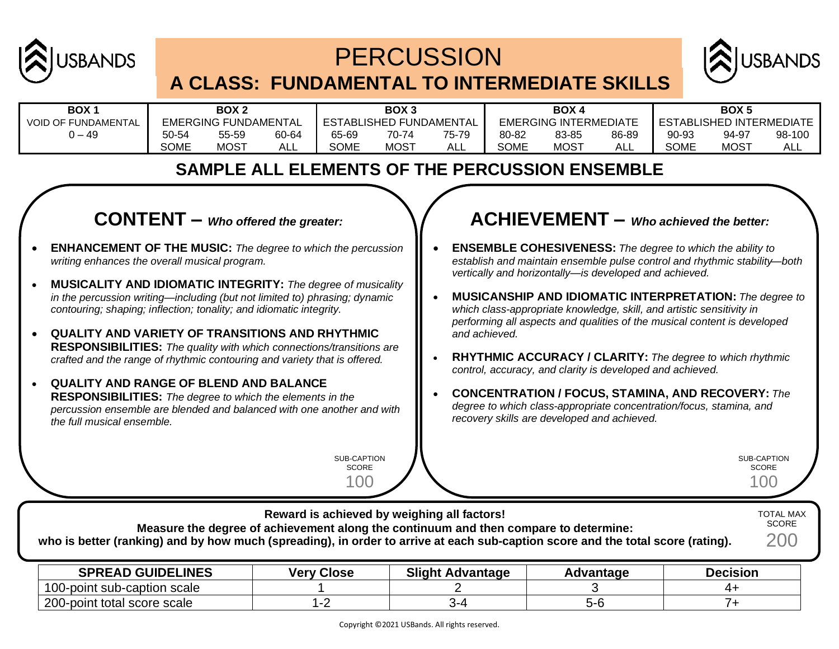

## **PERCUSSION A CLASS: FUNDAMENTAL TO INTERMEDIATE SKILLS**



| <b>BOX</b>                 | BOX <sub>2</sub>     |             | BOX <sub>3</sub>        |             | <b>BOX4</b>           |            | BOX <sub>5</sub>          |             |            |       |             |        |
|----------------------------|----------------------|-------------|-------------------------|-------------|-----------------------|------------|---------------------------|-------------|------------|-------|-------------|--------|
| <b>VOID OF FUNDAMENTAL</b> | EMERGING FUNDAMENTAL |             | ESTABLISHED FUNDAMENTAL |             | EMERGING INTERMEDIATE |            | LESTABLISHED INTERMEDIATE |             |            |       |             |        |
| $-49$                      | 50-54                | 55-59       | 60-64                   | 65-69       | 70-74                 | 75-79      | 80-82                     | 83-85       | 86-89      | 90-93 | 94-97       | 98-100 |
|                            | SOME                 | <b>MOST</b> | ALL                     | <b>SOME</b> | <b>MOST</b>           | <b>ALL</b> | SOME                      | <b>MOST</b> | <b>ALL</b> | SOME  | <b>MOST</b> | ALL    |

## **SAMPLE ALL ELEMENTS OF THE PERCUSSION ENSEMBLE**

### **CONTENT –** *Who offered the greater:*

- **ENHANCEMENT OF THE MUSIC:** *The degree to which the percussion writing enhances the overall musical program.*
- **MUSICALITY AND IDIOMATIC INTEGRITY:** *The degree of musicality in the percussion writing—including (but not limited to) phrasing; dynamic contouring; shaping; inflection; tonality; and idiomatic integrity.*
- **QUALITY AND VARIETY OF TRANSITIONS AND RHYTHMIC RESPONSIBILITIES:** *The quality with which connections/transitions are crafted and the range of rhythmic contouring and variety that is offered.*
- **QUALITY AND RANGE OF BLEND AND BALANCE RESPONSIBILITIES:** *The degree to which the elements in the percussion ensemble are blended and balanced with one another and with the full musical ensemble.*

SUB-CAPTION SCORE 100

**Reward is achieved by weighing all factors!**

### **ACHIEVEMENT –** *Who achieved the better:*

- **ENSEMBLE COHESIVENESS:** *The degree to which the ability to establish and maintain ensemble pulse control and rhythmic stability—both vertically and horizontally—is developed and achieved.*
- **MUSICANSHIP AND IDIOMATIC INTERPRETATION:** *The degree to which class-appropriate knowledge, skill, and artistic sensitivity in performing all aspects and qualities of the musical content is developed and achieved.*
- **RHYTHMIC ACCURACY / CLARITY:** *The degree to which rhythmic control, accuracy, and clarity is developed and achieved.*
- **CONCENTRATION / FOCUS, STAMINA, AND RECOVERY:** *The degree to which class-appropriate concentration/focus, stamina, and recovery skills are developed and achieved.*

SUB-CAPTION SCORE 100

TOTAL MAX

| Measure the degree of achievement along the continuum and then compare to determine:<br>who is better (ranking) and by how much (spreading), in order to arrive at each sub-caption score and the total score (rating). |                   |                         |           |                 |  |  |  |
|-------------------------------------------------------------------------------------------------------------------------------------------------------------------------------------------------------------------------|-------------------|-------------------------|-----------|-----------------|--|--|--|
| <b>SPREAD GUIDELINES</b>                                                                                                                                                                                                | <b>Very Close</b> | <b>Slight Advantage</b> | Advantage | <b>Decision</b> |  |  |  |
| 100-point sub-caption scale                                                                                                                                                                                             |                   |                         |           | 4+              |  |  |  |
| 200-point total score scale                                                                                                                                                                                             | 1-2               |                         | $5 - 6$   |                 |  |  |  |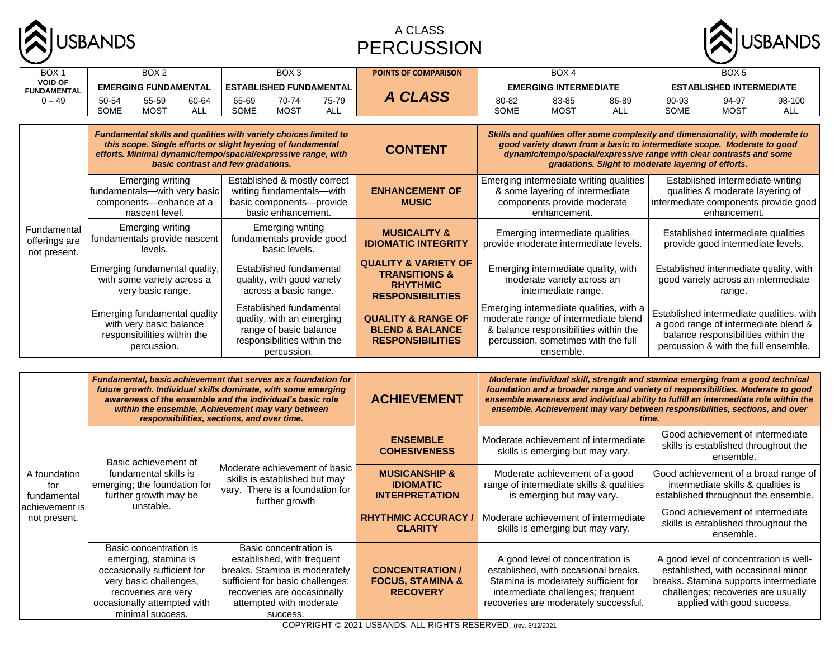

#### A CLASS PERCUSSION



| BOX <sub>1</sub>                             | BOX <sub>2</sub>                                                                                      | BOX <sub>3</sub>                                                                                                                                                                                                                        | <b>POINTS OF COMPARISON</b>                                                            | BOX <sub>4</sub>                                                                                                                                                                                                                                                                          | BOX <sub>5</sub>                                                                                                                                                |  |  |  |
|----------------------------------------------|-------------------------------------------------------------------------------------------------------|-----------------------------------------------------------------------------------------------------------------------------------------------------------------------------------------------------------------------------------------|----------------------------------------------------------------------------------------|-------------------------------------------------------------------------------------------------------------------------------------------------------------------------------------------------------------------------------------------------------------------------------------------|-----------------------------------------------------------------------------------------------------------------------------------------------------------------|--|--|--|
| <b>VOID OF</b><br><b>FUNDAMENTAL</b>         | <b>EMERGING FUNDAMENTAL</b>                                                                           | <b>ESTABLISHED FUNDAMENTAL</b>                                                                                                                                                                                                          |                                                                                        | <b>EMERGING INTERMEDIATE</b>                                                                                                                                                                                                                                                              | <b>ESTABLISHED INTERMEDIATE</b>                                                                                                                                 |  |  |  |
| $0 - 49$                                     | 55-59<br>50-54<br>60-64<br><b>SOME</b><br>MOST<br>ALL                                                 | 70-74<br>75-79<br>65-69<br>SOME<br><b>MOST</b><br>ALL                                                                                                                                                                                   | A CLASS                                                                                | 86-89<br>80-82<br>83-85<br>SOME<br><b>MOST</b><br>ALL                                                                                                                                                                                                                                     | 94-97<br>98-100<br>90-93<br>SOME<br><b>MOST</b><br>ALL                                                                                                          |  |  |  |
|                                              |                                                                                                       |                                                                                                                                                                                                                                         |                                                                                        |                                                                                                                                                                                                                                                                                           |                                                                                                                                                                 |  |  |  |
| Fundamental<br>offerings are<br>not present. |                                                                                                       | Fundamental skills and qualities with variety choices limited to<br>this scope. Single efforts or slight layering of fundamental<br>efforts. Minimal dynamic/tempo/spacial/expressive range, with<br>basic contrast and few gradations. | <b>CONTENT</b>                                                                         | Skills and qualities offer some complexity and dimensionality, with moderate to<br>good variety drawn from a basic to intermediate scope. Moderate to good<br>dynamic/tempo/spacial/expressive range with clear contrasts and some<br>gradations. Slight to moderate layering of efforts. |                                                                                                                                                                 |  |  |  |
|                                              | <b>Emerging writing</b><br>fundamentals-with very basic<br>components-enhance at a<br>nascent level.  | Established & mostly correct<br>writing fundamentals-with<br>basic components---provide<br>basic enhancement.                                                                                                                           | <b>ENHANCEMENT OF</b><br><b>MUSIC</b>                                                  | Emerging intermediate writing qualities<br>& some layering of intermediate<br>components provide moderate<br>enhancement.                                                                                                                                                                 | Established intermediate writing<br>qualities & moderate layering of<br>intermediate components provide good<br>enhancement.                                    |  |  |  |
|                                              | Emerging writing<br>fundamentals provide nascent<br>levels.                                           | <b>Emerging writing</b><br>fundamentals provide good<br>basic levels.                                                                                                                                                                   | <b>MUSICALITY &amp;</b><br><b>IDIOMATIC INTEGRITY</b>                                  | Emerging intermediate qualities<br>provide moderate intermediate levels.                                                                                                                                                                                                                  | Established intermediate qualities<br>provide good intermediate levels.                                                                                         |  |  |  |
|                                              | Emerging fundamental quality,<br>with some variety across a<br>very basic range.                      | Established fundamental<br>quality, with good variety<br>across a basic range.                                                                                                                                                          |                                                                                        | Emerging intermediate quality, with<br>moderate variety across an<br>intermediate range.                                                                                                                                                                                                  | Established intermediate quality, with<br>good variety across an intermediate<br>range.                                                                         |  |  |  |
|                                              | Emerging fundamental quality<br>with very basic balance<br>responsibilities within the<br>percussion. | Established fundamental<br>quality, with an emerging<br>range of basic balance<br>responsibilities within the<br>percussion.                                                                                                            | <b>QUALITY &amp; RANGE OF</b><br><b>BLEND &amp; BALANCE</b><br><b>RESPONSIBILITIES</b> | Emerging intermediate qualities, with a<br>moderate range of intermediate blend<br>& balance responsibilities within the<br>percussion, sometimes with the full<br>ensemble.                                                                                                              | Established intermediate qualities, with<br>a good range of intermediate blend &<br>balance responsibilities within the<br>percussion & with the full ensemble. |  |  |  |

| A foundation<br>for<br>fundamental<br>achievement is<br>not present. |                                                                                                                                                                                   | Fundamental, basic achievement that serves as a foundation for<br>future growth. Individual skills dominate, with some emerging<br>awareness of the ensemble and the individual's basic role<br>within the ensemble. Achievement may vary between<br>responsibilities, sections, and over time. | <b>ACHIEVEMENT</b>                                                       |                                                                                                                                                                                                | Moderate individual skill, strength and stamina emerging from a good technical<br>foundation and a broader range and variety of responsibilities. Moderate to good<br>ensemble awareness and individual ability to fulfill an intermediate role within the<br>ensemble. Achievement may vary between responsibilities, sections, and over |
|----------------------------------------------------------------------|-----------------------------------------------------------------------------------------------------------------------------------------------------------------------------------|-------------------------------------------------------------------------------------------------------------------------------------------------------------------------------------------------------------------------------------------------------------------------------------------------|--------------------------------------------------------------------------|------------------------------------------------------------------------------------------------------------------------------------------------------------------------------------------------|-------------------------------------------------------------------------------------------------------------------------------------------------------------------------------------------------------------------------------------------------------------------------------------------------------------------------------------------|
|                                                                      | Basic achievement of<br>fundamental skills is<br>emerging; the foundation for<br>further growth may be<br>unstable.                                                               |                                                                                                                                                                                                                                                                                                 | <b>ENSEMBLE</b><br><b>COHESIVENESS</b>                                   | Moderate achievement of intermediate<br>skills is emerging but may vary.                                                                                                                       | Good achievement of intermediate<br>skills is established throughout the<br>ensemble.                                                                                                                                                                                                                                                     |
|                                                                      |                                                                                                                                                                                   | Moderate achievement of basic<br>skills is established but may<br>vary. There is a foundation for<br>further growth                                                                                                                                                                             | <b>MUSICANSHIP &amp;</b><br><b>IDIOMATIC</b><br><b>INTERPRETATION</b>    | Moderate achievement of a good<br>range of intermediate skills & qualities<br>is emerging but may vary.                                                                                        | Good achievement of a broad range of<br>intermediate skills & qualities is<br>established throughout the ensemble.                                                                                                                                                                                                                        |
|                                                                      |                                                                                                                                                                                   |                                                                                                                                                                                                                                                                                                 | <b>RHYTHMIC ACCURACY</b><br><b>CLARITY</b>                               | Moderate achievement of intermediate<br>skills is emerging but may vary.                                                                                                                       | Good achievement of intermediate<br>skills is established throughout the<br>ensemble.                                                                                                                                                                                                                                                     |
|                                                                      | Basic concentration is<br>emerging, stamina is<br>occasionally sufficient for<br>very basic challenges,<br>recoveries are very<br>occasionally attempted with<br>minimal success. | Basic concentration is<br>established, with frequent<br>breaks. Stamina is moderately<br>sufficient for basic challenges;<br>recoveries are occasionally<br>attempted with moderate<br>success.                                                                                                 | <b>CONCENTRATION /</b><br><b>FOCUS, STAMINA &amp;</b><br><b>RECOVERY</b> | A good level of concentration is<br>established, with occasional breaks.<br>Stamina is moderately sufficient for<br>intermediate challenges; frequent<br>recoveries are moderately successful. | A good level of concentration is well-<br>established, with occasional minor<br>breaks. Stamina supports intermediate<br>challenges; recoveries are usually<br>applied with good success.                                                                                                                                                 |

COPYRIGHT © 2021 USBANDS. ALL RIGHTS RESERVED. (rev. 8/12/2021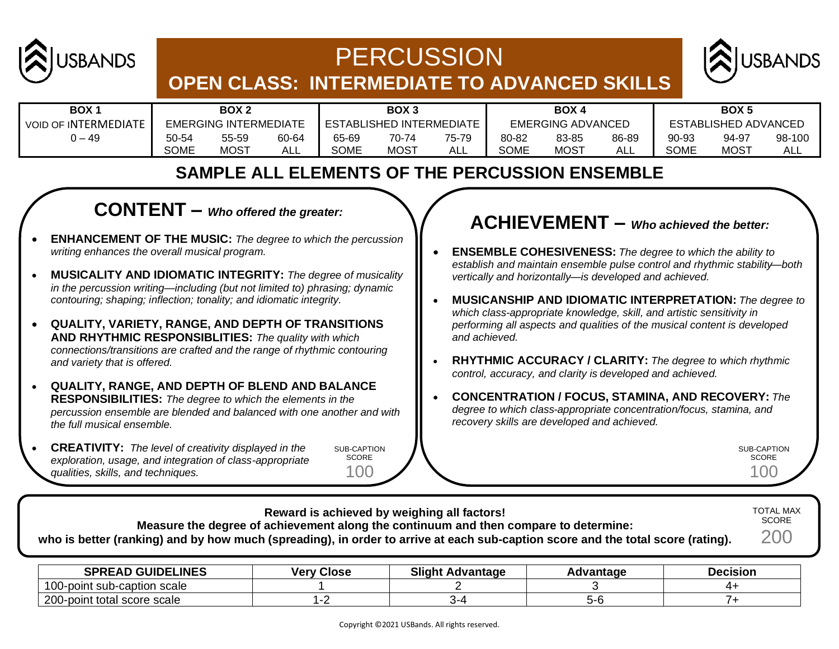

# **PERCUSSION**



## **OPEN CLASS: INTERMEDIATE TO ADVANCED SKILLS**

| <b>BOX</b>                  | BOX <sub>2</sub>      |             | BOX <sub>3</sub><br><b>BOX 4</b> |             | BOX <sub>5</sub>         |       |                             |             |       |             |             |        |
|-----------------------------|-----------------------|-------------|----------------------------------|-------------|--------------------------|-------|-----------------------------|-------------|-------|-------------|-------------|--------|
| <b>VOID OF INTERMEDIATE</b> | EMERGING INTERMEDIATE |             | <b>ESTABLISHED INTERMEDIATE</b>  |             | <b>EMERGING ADVANCED</b> |       | <b>ESTABLISHED ADVANCED</b> |             |       |             |             |        |
| 49 – (                      | 50-54                 | 55-59       | 60-64                            | 65-69       | 70-74                    | 75-79 | 80-82                       | 83-85       | 86-89 | 90-93       | 94-97       | 98-100 |
|                             | <b>SOME</b>           | <b>MOST</b> | ALL                              | <b>SOME</b> | <b>MOST</b>              | ALL   | <b>SOME</b>                 | <b>MOST</b> | AL.   | <b>SOME</b> | <b>MOST</b> | ALL    |

## **SAMPLE ALL ELEMENTS OF THE PERCUSSION ENSEMBLE**

## **CONTENT –** *Who offered the greater:*

- **ENHANCEMENT OF THE MUSIC:** *The degree to which the percussion writing enhances the overall musical program.*
- **MUSICALITY AND IDIOMATIC INTEGRITY:** *The degree of musicality in the percussion writing—including (but not limited to) phrasing; dynamic contouring; shaping; inflection; tonality; and idiomatic integrity.*
- **QUALITY, VARIETY, RANGE, AND DEPTH OF TRANSITIONS AND RHYTHMIC RESPONSIBLITIES:** *The quality with which connections/transitions are crafted and the range of rhythmic contouring and variety that is offered.*
- **QUALITY, RANGE, AND DEPTH OF BLEND AND BALANCE RESPONSIBILITIES:** *The degree to which the elements in the percussion ensemble are blended and balanced with one another and with the full musical ensemble.*
- **CREATIVITY:** *The level of creativity displayed in the exploration, usage, and integration of class-appropriate qualities, skills, and techniques.*

SUB-CAPTION SCORE 100

## **ACHIEVEMENT –** *Who achieved the better:*

- **ENSEMBLE COHESIVENESS:** *The degree to which the ability to establish and maintain ensemble pulse control and rhythmic stability—both vertically and horizontally—is developed and achieved.*
- **MUSICANSHIP AND IDIOMATIC INTERPRETATION:** *The degree to which class-appropriate knowledge, skill, and artistic sensitivity in performing all aspects and qualities of the musical content is developed and achieved.*
- **RHYTHMIC ACCURACY / CLARITY:** *The degree to which rhythmic control, accuracy, and clarity is developed and achieved.*
- **CONCENTRATION / FOCUS, STAMINA, AND RECOVERY:** *The degree to which class-appropriate concentration/focus, stamina, and recovery skills are developed and achieved.*

SUB-CAPTION SCORE 100

| who is better (ranking) and by how much (spreading), in order to arrive at each sub-caption score and the total score (rating). | Reward is achieved by weighing all factors! | Measure the degree of achievement along the continuum and then compare to determine: |           |                 | <b>TOTAL MAX</b><br><b>SCORE</b><br>200 |
|---------------------------------------------------------------------------------------------------------------------------------|---------------------------------------------|--------------------------------------------------------------------------------------|-----------|-----------------|-----------------------------------------|
| <b>SPREAD GUIDELINES</b>                                                                                                        | <b>Very Close</b>                           | <b>Slight Advantage</b>                                                              | Advantage | <b>Decision</b> |                                         |

|                                                   | .<br>----- | . | ----- |
|---------------------------------------------------|------------|---|-------|
| $100 -$<br>scale<br>-caption<br>·boint<br>. sup-' |            |   |       |
| 200-<br>scale<br>∙boin<br>score<br>otal           |            |   |       |
|                                                   |            |   |       |